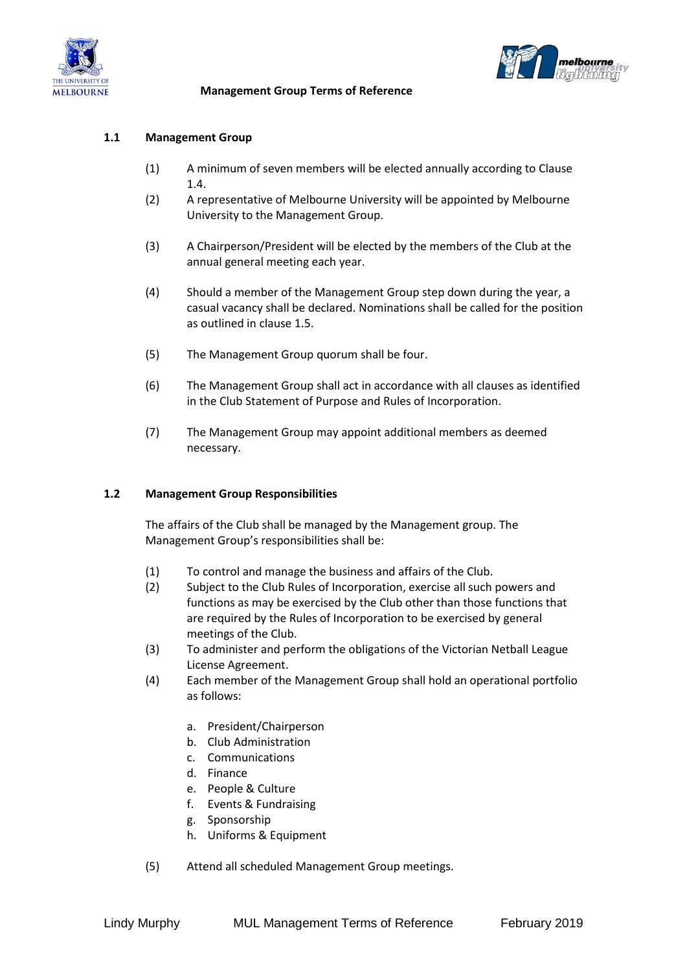



## **1.1 Management Group**

- (1) A minimum of seven members will be elected annually according to Clause 1.4.
- (2) A representative of Melbourne University will be appointed by Melbourne University to the Management Group.
- (3) A Chairperson/President will be elected by the members of the Club at the annual general meeting each year.
- (4) Should a member of the Management Group step down during the year, a casual vacancy shall be declared. Nominations shall be called for the position as outlined in clause 1.5.
- (5) The Management Group quorum shall be four.
- (6) The Management Group shall act in accordance with all clauses as identified in the Club Statement of Purpose and Rules of Incorporation.
- (7) The Management Group may appoint additional members as deemed necessary.

### **1.2 Management Group Responsibilities**

The affairs of the Club shall be managed by the Management group. The Management Group's responsibilities shall be:

- (1) To control and manage the business and affairs of the Club.
- (2) Subject to the Club Rules of Incorporation, exercise all such powers and functions as may be exercised by the Club other than those functions that are required by the Rules of Incorporation to be exercised by general meetings of the Club.
- (3) To administer and perform the obligations of the Victorian Netball League License Agreement.
- (4) Each member of the Management Group shall hold an operational portfolio as follows:
	- a. President/Chairperson
	- b. Club Administration
	- c. Communications
	- d. Finance
	- e. People & Culture
	- f. Events & Fundraising
	- g. Sponsorship
	- h. Uniforms & Equipment
- (5) Attend all scheduled Management Group meetings.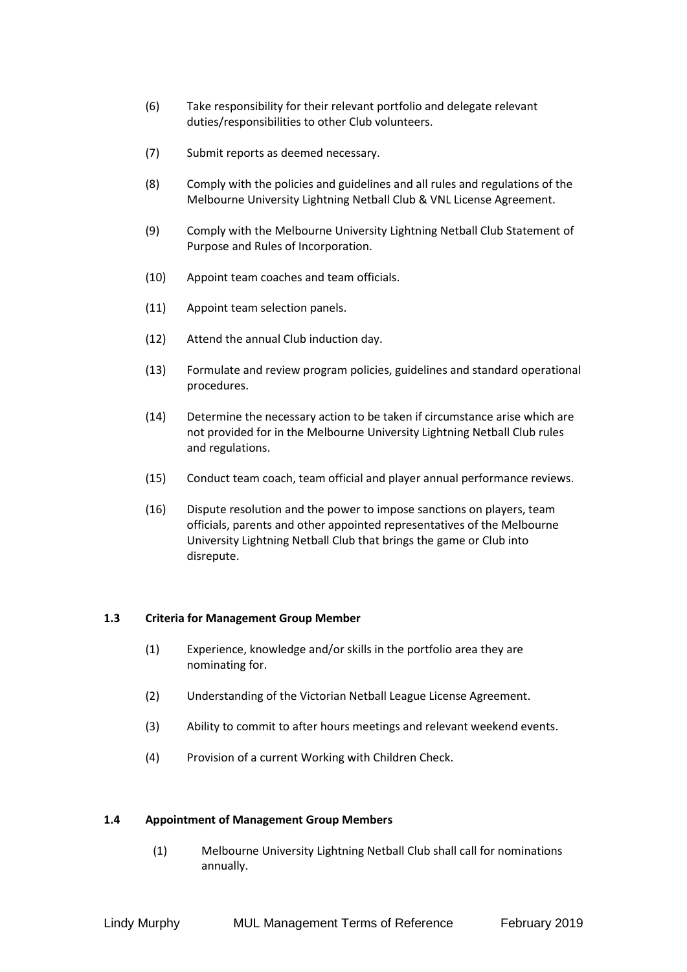- (6) Take responsibility for their relevant portfolio and delegate relevant duties/responsibilities to other Club volunteers.
- (7) Submit reports as deemed necessary.
- (8) Comply with the policies and guidelines and all rules and regulations of the Melbourne University Lightning Netball Club & VNL License Agreement.
- (9) Comply with the Melbourne University Lightning Netball Club Statement of Purpose and Rules of Incorporation.
- (10) Appoint team coaches and team officials.
- (11) Appoint team selection panels.
- (12) Attend the annual Club induction day.
- (13) Formulate and review program policies, guidelines and standard operational procedures.
- (14) Determine the necessary action to be taken if circumstance arise which are not provided for in the Melbourne University Lightning Netball Club rules and regulations.
- (15) Conduct team coach, team official and player annual performance reviews.
- (16) Dispute resolution and the power to impose sanctions on players, team officials, parents and other appointed representatives of the Melbourne University Lightning Netball Club that brings the game or Club into disrepute.

#### **1.3 Criteria for Management Group Member**

- (1) Experience, knowledge and/or skills in the portfolio area they are nominating for.
- (2) Understanding of the Victorian Netball League License Agreement.
- (3) Ability to commit to after hours meetings and relevant weekend events.
- (4) Provision of a current Working with Children Check.

#### **1.4 Appointment of Management Group Members**

(1) Melbourne University Lightning Netball Club shall call for nominations annually.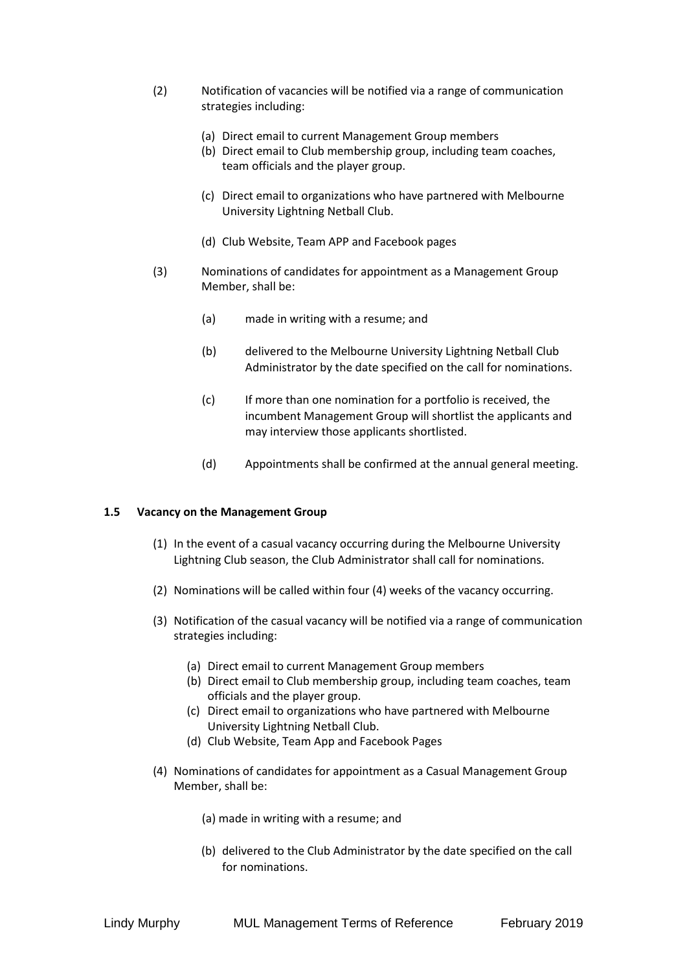- (2) Notification of vacancies will be notified via a range of communication strategies including:
	- (a) Direct email to current Management Group members
	- (b) Direct email to Club membership group, including team coaches, team officials and the player group.
	- (c) Direct email to organizations who have partnered with Melbourne University Lightning Netball Club.
	- (d) Club Website, Team APP and Facebook pages
- (3) Nominations of candidates for appointment as a Management Group Member, shall be:
	- (a) made in writing with a resume; and
	- (b) delivered to the Melbourne University Lightning Netball Club Administrator by the date specified on the call for nominations.
	- (c) If more than one nomination for a portfolio is received, the incumbent Management Group will shortlist the applicants and may interview those applicants shortlisted.
	- (d) Appointments shall be confirmed at the annual general meeting.

### **1.5 Vacancy on the Management Group**

- (1) In the event of a casual vacancy occurring during the Melbourne University Lightning Club season, the Club Administrator shall call for nominations.
- (2) Nominations will be called within four (4) weeks of the vacancy occurring.
- (3) Notification of the casual vacancy will be notified via a range of communication strategies including:
	- (a) Direct email to current Management Group members
	- (b) Direct email to Club membership group, including team coaches, team officials and the player group.
	- (c) Direct email to organizations who have partnered with Melbourne University Lightning Netball Club.
	- (d) Club Website, Team App and Facebook Pages
- (4) Nominations of candidates for appointment as a Casual Management Group Member, shall be:
	- (a) made in writing with a resume; and
	- (b) delivered to the Club Administrator by the date specified on the call for nominations.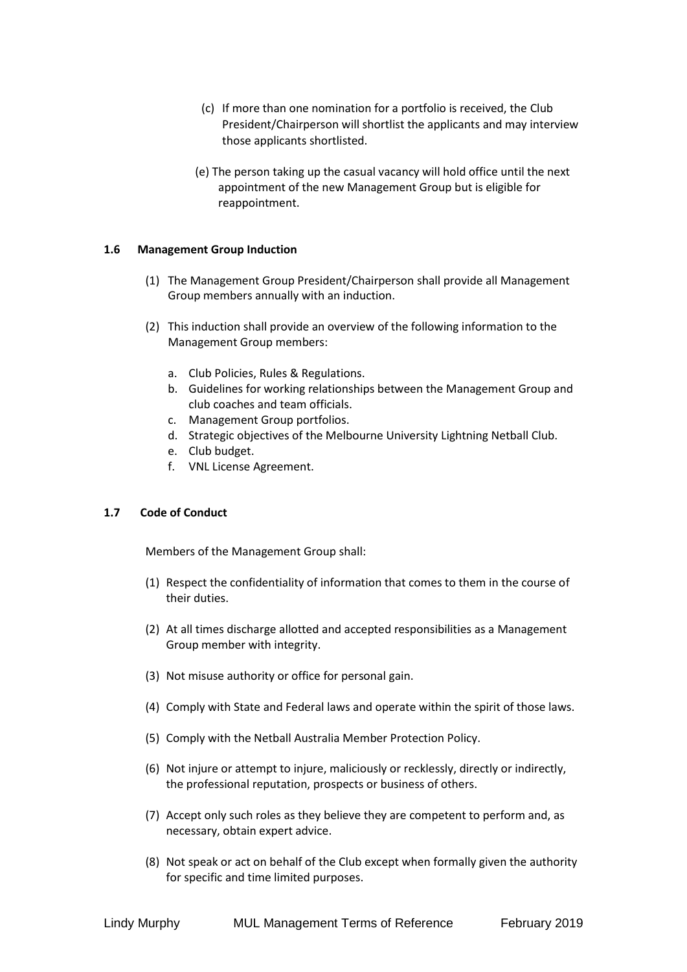- (c) If more than one nomination for a portfolio is received, the Club President/Chairperson will shortlist the applicants and may interview those applicants shortlisted.
- (e) The person taking up the casual vacancy will hold office until the next appointment of the new Management Group but is eligible for reappointment.

### **1.6 Management Group Induction**

- (1) The Management Group President/Chairperson shall provide all Management Group members annually with an induction.
- (2) This induction shall provide an overview of the following information to the Management Group members:
	- a. Club Policies, Rules & Regulations.
	- b. Guidelines for working relationships between the Management Group and club coaches and team officials.
	- c. Management Group portfolios.
	- d. Strategic objectives of the Melbourne University Lightning Netball Club.
	- e. Club budget.
	- f. VNL License Agreement.

### **1.7 Code of Conduct**

Members of the Management Group shall:

- (1) Respect the confidentiality of information that comes to them in the course of their duties.
- (2) At all times discharge allotted and accepted responsibilities as a Management Group member with integrity.
- (3) Not misuse authority or office for personal gain.
- (4) Comply with State and Federal laws and operate within the spirit of those laws.
- (5) Comply with the Netball Australia Member Protection Policy.
- (6) Not injure or attempt to injure, maliciously or recklessly, directly or indirectly, the professional reputation, prospects or business of others.
- (7) Accept only such roles as they believe they are competent to perform and, as necessary, obtain expert advice.
- (8) Not speak or act on behalf of the Club except when formally given the authority for specific and time limited purposes.